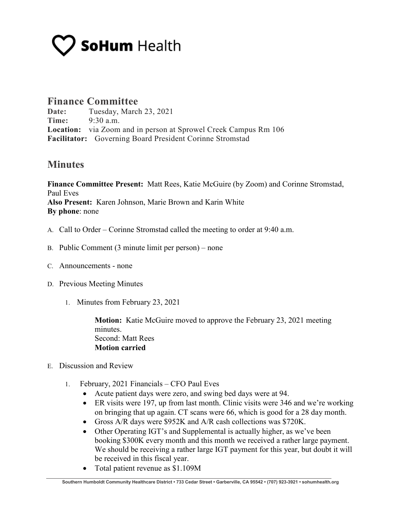## **SoHum** Health

## **Finance Committee**

**Date:** Tuesday, March 23, 2021 **Time:** 9:30 a.m. **Location:** via Zoom and in person at Sprowel Creek Campus Rm 106 **Facilitator:** Governing Board President Corinne Stromstad

## **Minutes**

**Finance Committee Present:** Matt Rees, Katie McGuire (by Zoom) and Corinne Stromstad, Paul Eves **Also Present:** Karen Johnson, Marie Brown and Karin White **By phone**: none

- A. Call to Order Corinne Stromstad called the meeting to order at 9:40 a.m.
- B. Public Comment (3 minute limit per person) none
- C. Announcements none
- D. Previous Meeting Minutes
	- 1. Minutes from February 23, 2021

**Motion:** Katie McGuire moved to approve the February 23, 2021 meeting minutes. Second: Matt Rees **Motion carried**

- E. Discussion and Review
	- 1. February, 2021 Financials CFO Paul Eves
		- Acute patient days were zero, and swing bed days were at 94.
		- ER visits were 197, up from last month. Clinic visits were 346 and we're working on bringing that up again. CT scans were 66, which is good for a 28 day month.
		- Gross A/R days were \$952K and A/R cash collections was \$720K.
		- Other Operating IGT's and Supplemental is actually higher, as we've been booking \$300K every month and this month we received a rather large payment. We should be receiving a rather large IGT payment for this year, but doubt it will be received in this fiscal year.
		- Total patient revenue as \$1.109M